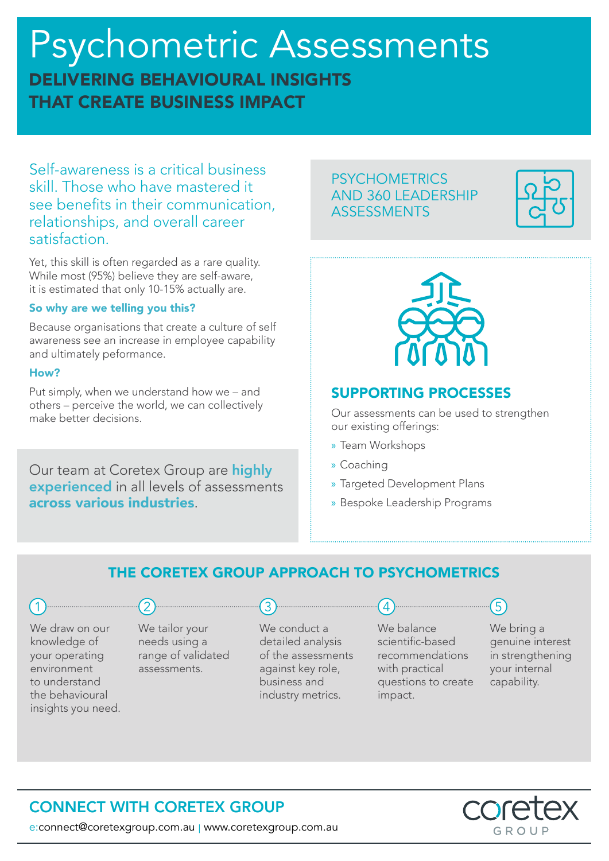# Psychometric Assessments DELIVERING BEHAVIOURAL INSIGHTS THAT CREATE BUSINESS IMPACT

Self-awareness is a critical business skill. Those who have mastered it see benefits in their communication, relationships, and overall career satisfaction.

Yet, this skill is often regarded as a rare quality. While most (95%) believe they are self-aware, it is estimated that only 10-15% actually are.

#### So why are we telling you this?

Because organisations that create a culture of self awareness see an increase in employee capability and ultimately peformance.

#### How?

Put simply, when we understand how we – and others – perceive the world, we can collectively make better decisions.

Our team at Coretex Group are highly experienced in all levels of assessments across various industries.

### **PSYCHOMETRICS** AND 360 LEADERSHIP ASSESSMENTS





## SUPPORTING PROCESSES

Our assessments can be used to strengthen our existing offerings:

- » Team Workshops
- » Coaching
- » Targeted Development Plans
- » Bespoke Leadership Programs

## THE CORETEX GROUP APPROACH TO PSYCHOMETRICS

We draw on our knowledge of your operating environment to understand the behavioural insights you need. We tailor your needs using a range of validated assessments.

 $\bullet$ 

We conduct a detailed analysis of the assessments against key role, business and industry metrics.

We balance scientific-based recommendations with practical questions to create

impact.

We bring a genuine interest in strengthening your internal capability.

## $\mathsf{P} \mathsf{X}$ GROUP

e:connect@coretexgroup.com.au | www.coretexgroup.com.au

CONNECT WITH CORETEX GROUP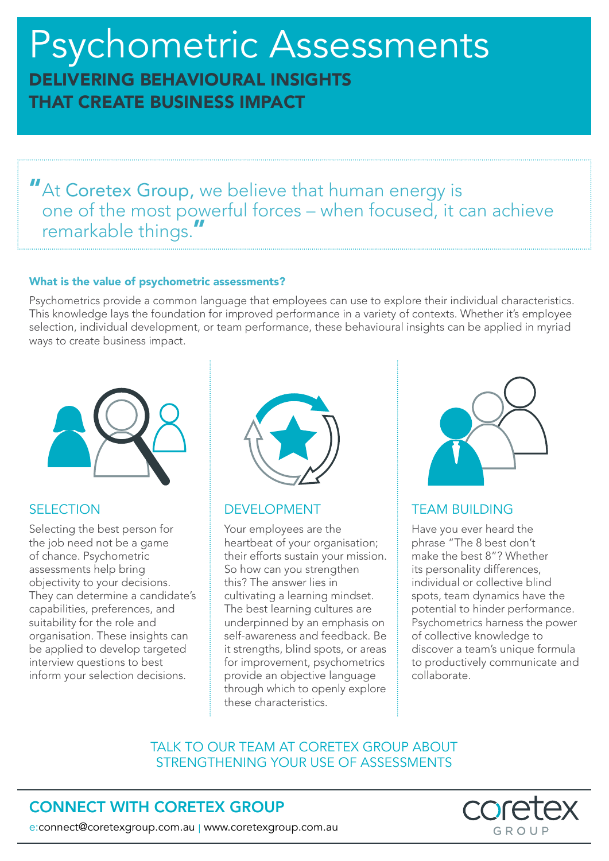# Psychometric Assessments DELIVERING BEHAVIOURAL INSIGHTS THAT CREATE BUSINESS IMPACT

"At Coretex Group, we believe that human energy is one of the most powerful forces – when focused, it can achieve remarkable things."

#### What is the value of psychometric assessments?

Psychometrics provide a common language that employees can use to explore their individual characteristics. This knowledge lays the foundation for improved performance in a variety of contexts. Whether it's employee selection, individual development, or team performance, these behavioural insights can be applied in myriad ways to create business impact.



### **SELECTION**

Selecting the best person for the job need not be a game of chance. Psychometric assessments help bring objectivity to your decisions. They can determine a candidate's capabilities, preferences, and suitability for the role and organisation. These insights can be applied to develop targeted interview questions to best inform your selection decisions.



#### DEVELOPMENT

Your employees are the heartbeat of your organisation; their efforts sustain your mission. So how can you strengthen this? The answer lies in cultivating a learning mindset. The best learning cultures are underpinned by an emphasis on self-awareness and feedback. Be it strengths, blind spots, or areas for improvement, psychometrics provide an objective language through which to openly explore these characteristics.



### TEAM BUILDING

Have you ever heard the phrase "The 8 best don't make the best 8"? Whether its personality differences, individual or collective blind spots, team dynamics have the potential to hinder performance. Psychometrics harness the power of collective knowledge to discover a team's unique formula to productively communicate and collaborate.

### TALK TO OUR TEAM AT CORETEX GROUP ABOUT STRENGTHENING YOUR USE OF ASSESSMENTS

## CONNECT WITH CORETEX GROUP



e:connect@coretexgroup.com.au | www.coretexgroup.com.au